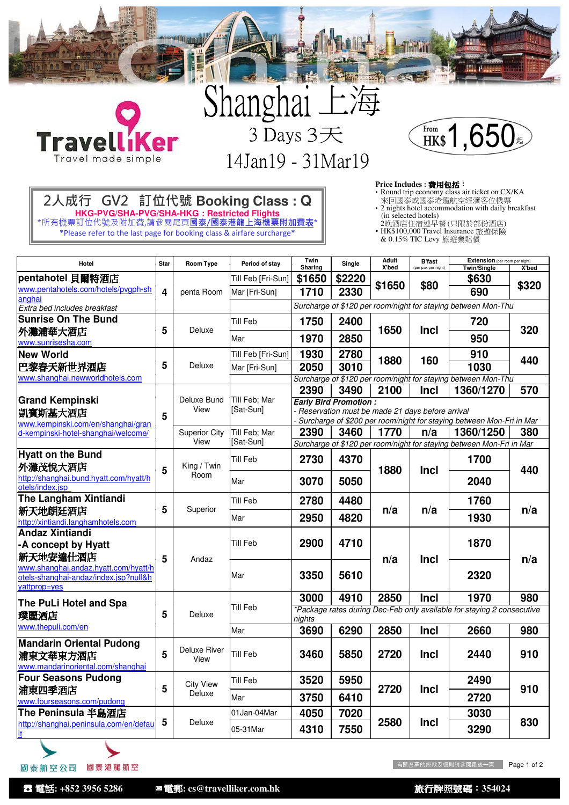# **TravelliKer** Travel made simple

Shanghai 3 Days 3天 14Jan19 - 31Mar19

Ī



## 2人成行 GV2 訂位代號 **Booking Class : Q HKG-PVG/SHA-PVG/SHA-HKG : Restricted Flights<br>\*所有機票訂位代號及附加費 請參閱尾頁國泰/國泰港龍上海機票附加費表\*** \*Please refer to the last page for booking class & airfare surcharge\*

#### **Price Includes :** 費用包括:

- Round trip economy class air ticket on CX/KA 來回國泰或國泰港龍航空經濟客位機票
- 2 nights hotel accommodation with daily breakfast (in selected hotels) 2晚酒店住宿連早餐 (只限於部份酒店)
- HK\$100,000 Travel Insurance 旅遊保險
- & 0.15% TIC Levy 旅遊業賠償
- 

| Hotel                                                                     | Star | Room Type                  | Period of stay             | Twin<br>Sharing                                                                  | Single                                                                                                                      | Adult<br>X'bed | <b>B'fast</b><br>(per pax per night) | <b>Extension</b> (per room per night)<br>Twin/Single                 | X'bed |  |
|---------------------------------------------------------------------------|------|----------------------------|----------------------------|----------------------------------------------------------------------------------|-----------------------------------------------------------------------------------------------------------------------------|----------------|--------------------------------------|----------------------------------------------------------------------|-------|--|
| pentahotel 貝爾特酒店                                                          | 4    | penta Room                 | Till Feb [Fri-Sun]         | \$1650                                                                           | \$2220                                                                                                                      | \$1650         | \$80                                 | \$630                                                                | \$320 |  |
| www.pentahotels.com/hotels/pygph-sh                                       |      |                            | Mar [Fri-Sun]              | 1710                                                                             | 2330                                                                                                                        |                |                                      | 690                                                                  |       |  |
| anghai<br>Extra bed includes breakfast                                    |      |                            |                            | Surcharge of \$120 per room/night for staying between Mon-Thu                    |                                                                                                                             |                |                                      |                                                                      |       |  |
| <b>Sunrise On The Bund</b>                                                | 5    | Deluxe                     | Till Feb                   | 1750                                                                             | 2400                                                                                                                        | 720            |                                      |                                                                      |       |  |
| 外灘浦華大酒店                                                                   |      |                            | Mar                        |                                                                                  |                                                                                                                             | 1650           | Incl                                 |                                                                      | 320   |  |
| www.sunrisesha.com                                                        |      |                            |                            | 1970                                                                             | 2850                                                                                                                        |                |                                      | 950                                                                  |       |  |
| <b>New World</b>                                                          | 5    | Deluxe                     | Till Feb [Fri-Sun]         | 1930                                                                             | 2780                                                                                                                        | 1880           | 160                                  | 910                                                                  | 440   |  |
| 巴黎春天新世界酒店                                                                 |      |                            | Mar [Fri-Sun]              | 2050                                                                             | 3010                                                                                                                        |                |                                      | 1030                                                                 |       |  |
| www.shanghai.newworldhotels.com                                           |      |                            |                            |                                                                                  | Surcharge of \$120 per room/night for staying between Mon-Thu                                                               |                |                                      |                                                                      |       |  |
|                                                                           |      |                            |                            | 2390                                                                             | 3490                                                                                                                        | 2100           | Incl                                 | 1360/1270                                                            | 570   |  |
| <b>Grand Kempinski</b>                                                    |      | Deluxe Bund<br>View        | Till Feb: Mar<br>[Sat-Sun] | <b>Early Bird Promotion:</b>                                                     |                                                                                                                             |                |                                      |                                                                      |       |  |
| 凱賓斯基大酒店                                                                   | 5    |                            |                            |                                                                                  | - Reservation must be made 21 days before arrival<br>- Surcharge of \$200 per room/night for staying between Mon-Fri in Mar |                |                                      |                                                                      |       |  |
| www.kempinski.com/en/shanghai/gran<br>d-kempinski-hotel-shanghai/welcome/ |      | <b>Superior City</b>       | Till Feb; Mar              | 2390                                                                             | 3460                                                                                                                        | 1770           | n/a                                  | 1360/1250                                                            | 380   |  |
|                                                                           |      | View                       | [Sat-Sun]                  |                                                                                  |                                                                                                                             |                |                                      | Surcharge of \$120 per room/night for staying between Mon-Fri in Mar |       |  |
| <b>Hyatt on the Bund</b>                                                  | 5    | King / Twin<br>Room        | Till Feb                   | 2730                                                                             | 4370                                                                                                                        |                | <b>Incl</b>                          | 1700                                                                 | 440   |  |
| 外灘茂悅大酒店                                                                   |      |                            |                            |                                                                                  |                                                                                                                             | 1880           |                                      |                                                                      |       |  |
| http://shanghai.bund.hyatt.com/hyatt/h                                    |      |                            | Mar                        | 3070                                                                             | 5050                                                                                                                        |                |                                      | 2040                                                                 |       |  |
| otels/index.jsp                                                           |      |                            |                            |                                                                                  |                                                                                                                             |                |                                      |                                                                      |       |  |
| The Langham Xintiandi                                                     | 5    | Superior                   | Till Feb                   | 2780                                                                             | 4480                                                                                                                        | n/a            | n/a                                  | 1760                                                                 | n/a   |  |
| 新天地朗廷酒店<br>http://xintiandi.langhamhotels.com                             |      |                            | Mar                        | 2950                                                                             | 4820                                                                                                                        |                |                                      | 1930                                                                 |       |  |
| <b>Andaz Xintiandi</b>                                                    |      |                            |                            |                                                                                  |                                                                                                                             |                |                                      |                                                                      |       |  |
| -A concept by Hyatt                                                       |      |                            | Till Feb                   | 2900                                                                             | 4710                                                                                                                        |                |                                      | 1870                                                                 |       |  |
| 新天地安達仕酒店                                                                  | 5    | Andaz                      |                            |                                                                                  |                                                                                                                             | n/a            | Incl                                 |                                                                      | n/a   |  |
| www.shanghai.andaz.hyatt.com/hyatt/h                                      |      |                            |                            |                                                                                  |                                                                                                                             |                |                                      |                                                                      |       |  |
| otels-shanghai-andaz/index.jsp?null&h                                     |      |                            | Mar                        | 3350                                                                             | 5610                                                                                                                        |                |                                      | 2320                                                                 |       |  |
| vattprop=yes                                                              |      |                            |                            |                                                                                  |                                                                                                                             |                |                                      |                                                                      |       |  |
| The PuLi Hotel and Spa                                                    | 5    | Deluxe                     | Till Feb                   | 3000                                                                             | 4910                                                                                                                        | 2850           | Incl                                 | 1970                                                                 | 980   |  |
| 璞麗酒店                                                                      |      |                            |                            | *Package rates during Dec-Feb only available for staying 2 consecutive<br>nights |                                                                                                                             |                |                                      |                                                                      |       |  |
| www.thepuli.com/en                                                        |      |                            | Mar                        | 3690                                                                             | 6290                                                                                                                        | 2850           | Incl                                 | 2660                                                                 | 980   |  |
| <b>Mandarin Oriental Pudong</b>                                           |      |                            |                            |                                                                                  |                                                                                                                             |                |                                      |                                                                      |       |  |
| 浦東文華東方酒店                                                                  | 5    | <b>Deluxe River</b>        | Till Feb                   | 3460                                                                             | 5850                                                                                                                        | 2720           | <b>Incl</b>                          | 2440                                                                 | 910   |  |
| www.mandarinoriental.com/shanghai                                         |      | View                       |                            |                                                                                  |                                                                                                                             |                |                                      |                                                                      |       |  |
| <b>Four Seasons Pudong</b>                                                | 5    | <b>City View</b><br>Deluxe | Till Feb                   | 3520                                                                             | 5950                                                                                                                        | 2720           | Incl                                 | 2490                                                                 | 910   |  |
| 浦東四季酒店                                                                    |      |                            | Mar                        | 3750                                                                             | 6410                                                                                                                        |                |                                      | 2720                                                                 |       |  |
| www.fourseasons.com/pudong                                                |      |                            |                            |                                                                                  |                                                                                                                             |                |                                      |                                                                      |       |  |
| The Peninsula 半島酒店                                                        | 5    | Deluxe                     | 01Jan-04Mar                | 4050                                                                             | 7020                                                                                                                        | 2580           | <b>Incl</b>                          | 3030                                                                 | 830   |  |
| http://shanghai.peninsula.com/en/defau<br><u>lt</u>                       |      |                            | 05-31Mar                   | 4310                                                                             | 7550                                                                                                                        |                |                                      | 3290                                                                 |       |  |
|                                                                           |      |                            |                            |                                                                                  |                                                                                                                             |                |                                      |                                                                      |       |  |



有關套票的條款及細則請參閱最後一頁 Page 1 of 2